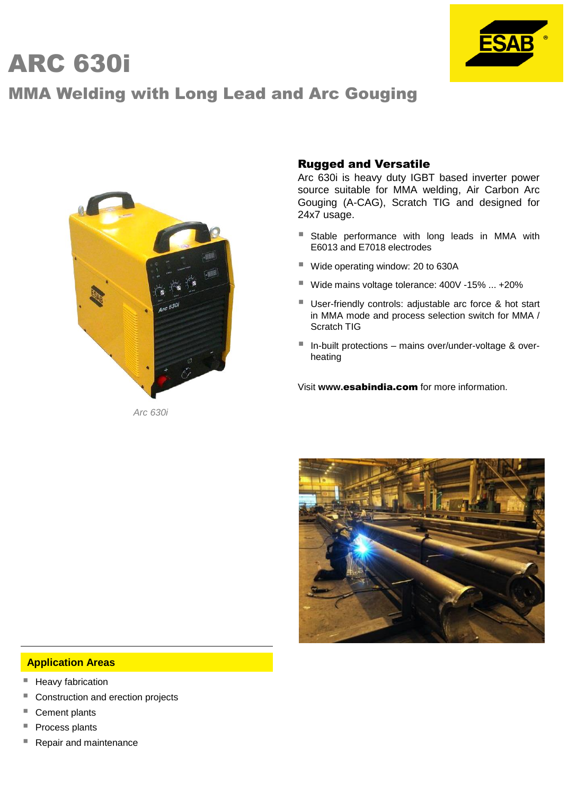# ARC 630i



## MMA Welding with Long Lead and Arc Gouging



*Arc 630i*

#### Rugged and Versatile

Arc 630i is heavy duty IGBT based inverter power source suitable for MMA welding, Air Carbon Arc Gouging (A-CAG), Scratch TIG and designed for 24x7 usage.

- **Stable performance with long leads in MMA with** E6013 and E7018 electrodes
- Wide operating window: 20 to 630A
- Wide mains voltage tolerance: 400V -15% ... +20%
- User-friendly controls: adjustable arc force & hot start in MMA mode and process selection switch for MMA / Scratch TIG
- In-built protections mains over/under-voltage & overheating

Visit **www.**esabindia.com for more information.



#### **Application Areas**

- Heavy fabrication
- Construction and erection projects
- Cement plants
- Process plants
- Repair and maintenance